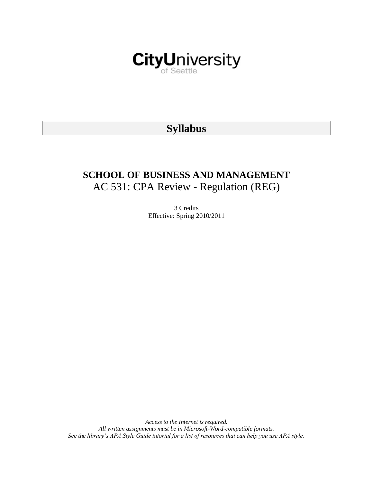

# **Syllabus**

# **SCHOOL OF BUSINESS AND MANAGEMENT** AC 531: CPA Review - Regulation (REG)

3 Credits Effective: Spring 2010/2011

*Access to the Internet is required. All written assignments must be in Microsoft-Word-compatible formats. See the library's APA Style Guide tutorial for a list of resources that can help you use APA style.*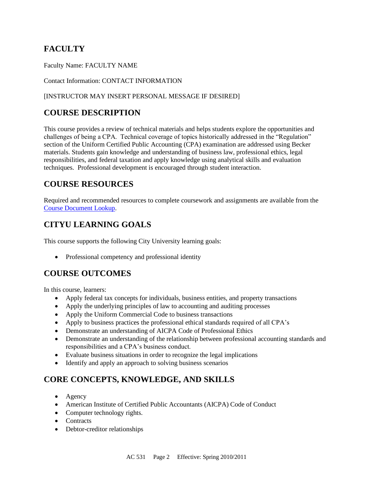## **FACULTY**

Faculty Name: FACULTY NAME

#### Contact Information: CONTACT INFORMATION

#### [INSTRUCTOR MAY INSERT PERSONAL MESSAGE IF DESIRED]

## **COURSE DESCRIPTION**

This course provides a review of technical materials and helps students explore the opportunities and challenges of being a CPA. Technical coverage of topics historically addressed in the "Regulation" section of the Uniform Certified Public Accounting (CPA) examination are addressed using Becker materials. Students gain knowledge and understanding of business law, professional ethics, legal responsibilities, and federal taxation and apply knowledge using analytical skills and evaluation techniques. Professional development is encouraged through student interaction.

## **COURSE RESOURCES**

Required and recommended resources to complete coursework and assignments are available from the [Course Document Lookup.](https://documents.cityu.edu/coursedocumentlookup.aspx)

## **CITYU LEARNING GOALS**

This course supports the following City University learning goals:

• Professional competency and professional identity

## **COURSE OUTCOMES**

In this course, learners:

- Apply federal tax concepts for individuals, business entities, and property transactions
- Apply the underlying principles of law to accounting and auditing processes
- Apply the Uniform Commercial Code to business transactions
- Apply to business practices the professional ethical standards required of all CPA's
- Demonstrate an understanding of AICPA Code of Professional Ethics
- Demonstrate an understanding of the relationship between professional accounting standards and responsibilities and a CPA's business conduct.
- Evaluate business situations in order to recognize the legal implications
- Identify and apply an approach to solving business scenarios

## **CORE CONCEPTS, KNOWLEDGE, AND SKILLS**

- Agency
- American Institute of Certified Public Accountants (AICPA) Code of Conduct
- Computer technology rights.
- Contracts
- Debtor-creditor relationships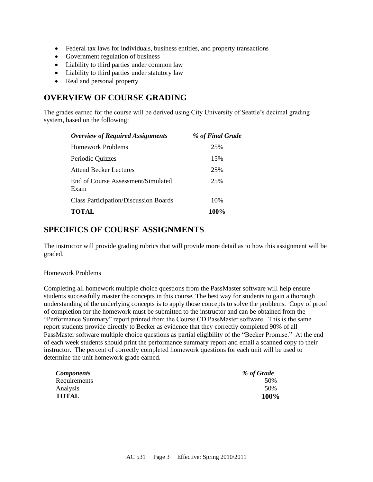- Federal tax laws for individuals, business entities, and property transactions
- Government regulation of business
- Liability to third parties under common law
- Liability to third parties under statutory law
- Real and personal property

## **OVERVIEW OF COURSE GRADING**

The grades earned for the course will be derived using City University of Seattle's decimal grading system, based on the following:

| <b>Overview of Required Assignments</b>      | % of Final Grade |
|----------------------------------------------|------------------|
| <b>Homework Problems</b>                     | 25%              |
| Periodic Quizzes                             | 15%              |
| <b>Attend Becker Lectures</b>                | 25%              |
| End of Course Assessment/Simulated<br>Exam   | 25%              |
| <b>Class Participation/Discussion Boards</b> | 10%              |
| <b>TOTAL</b>                                 | 100%             |

## **SPECIFICS OF COURSE ASSIGNMENTS**

The instructor will provide grading rubrics that will provide more detail as to how this assignment will be graded.

#### Homework Problems

Completing all homework multiple choice questions from the PassMaster software will help ensure students successfully master the concepts in this course. The best way for students to gain a thorough understanding of the underlying concepts is to apply those concepts to solve the problems. Copy of proof of completion for the homework must be submitted to the instructor and can be obtained from the "Performance Summary" report printed from the Course CD PassMaster software. This is the same report students provide directly to Becker as evidence that they correctly completed 90% of all PassMaster software multiple choice questions as partial eligibility of the "Becker Promise." At the end of each week students should print the performance summary report and email a scanned copy to their instructor. The percent of correctly completed homework questions for each unit will be used to determine the unit homework grade earned.

| <i>Components</i> | % of Grade  |
|-------------------|-------------|
| Requirements      | 50%         |
| Analysis          | 50%         |
| <b>TOTAL</b>      | <b>100%</b> |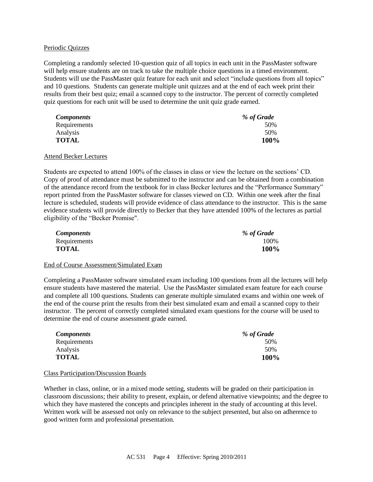#### Periodic Quizzes

Completing a randomly selected 10-question quiz of all topics in each unit in the PassMaster software will help ensure students are on track to take the multiple choice questions in a timed environment. Students will use the PassMaster quiz feature for each unit and select "include questions from all topics" and 10 questions. Students can generate multiple unit quizzes and at the end of each week print their results from their best quiz; email a scanned copy to the instructor. The percent of correctly completed quiz questions for each unit will be used to determine the unit quiz grade earned.

| <b>Components</b> | % of Grade |
|-------------------|------------|
| Requirements      | 50%        |
| Analysis          | 50%        |
| <b>TOTAL</b>      | 100%       |

#### Attend Becker Lectures

Students are expected to attend 100% of the classes in class or view the lecture on the sections' CD. Copy of proof of attendance must be submitted to the instructor and can be obtained from a combination of the attendance record from the textbook for in class Becker lectures and the "Performance Summary" report printed from the PassMaster software for classes viewed on CD. Within one week after the final lecture is scheduled, students will provide evidence of class attendance to the instructor. This is the same evidence students will provide directly to Becker that they have attended 100% of the lectures as partial eligibility of the "Becker Promise".

| <b>Components</b> | % of Grade |
|-------------------|------------|
| Requirements      | 100\%      |
| <b>TOTAL</b>      | 100%       |

#### End of Course Assessment/Simulated Exam

Completing a PassMaster software simulated exam including 100 questions from all the lectures will help ensure students have mastered the material. Use the PassMaster simulated exam feature for each course and complete all 100 questions. Students can generate multiple simulated exams and within one week of the end of the course print the results from their best simulated exam and email a scanned copy to their instructor. The percent of correctly completed simulated exam questions for the course will be used to determine the end of course assessment grade earned.

| <b>Components</b> | % of Grade |
|-------------------|------------|
| Requirements      | 50%        |
| Analysis          | 50%        |
| <b>TOTAL</b>      | 100%       |

#### Class Participation/Discussion Boards

Whether in class, online, or in a mixed mode setting, students will be graded on their participation in classroom discussions; their ability to present, explain, or defend alternative viewpoints; and the degree to which they have mastered the concepts and principles inherent in the study of accounting at this level. Written work will be assessed not only on relevance to the subject presented, but also on adherence to good written form and professional presentation.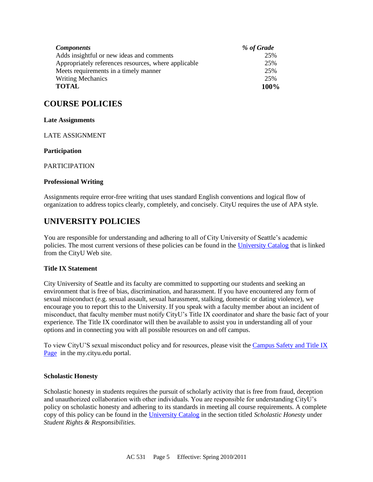| <b>Components</b>                                    | % of Grade |
|------------------------------------------------------|------------|
| Adds insightful or new ideas and comments            | 25%        |
| Appropriately references resources, where applicable | 25%        |
| Meets requirements in a timely manner                | 25%        |
| <b>Writing Mechanics</b>                             | 25%        |
| <b>TOTAL</b>                                         | 100%       |

## **COURSE POLICIES**

#### **Late Assignments**

LATE ASSIGNMENT

#### **Participation**

PARTICIPATION

#### **Professional Writing**

Assignments require error-free writing that uses standard English conventions and logical flow of organization to address topics clearly, completely, and concisely. CityU requires the use of APA style.

## **UNIVERSITY POLICIES**

You are responsible for understanding and adhering to all of City University of Seattle's academic policies. The most current versions of these policies can be found in the [University Catalog](http://www.cityu.edu/catalog/) that is linked from the CityU Web site.

#### **Title IX Statement**

City University of Seattle and its faculty are committed to supporting our students and seeking an environment that is free of bias, discrimination, and harassment. If you have encountered any form of sexual misconduct (e.g. sexual assault, sexual harassment, stalking, domestic or dating violence), we encourage you to report this to the University. If you speak with a faculty member about an incident of misconduct, that faculty member must notify CityU's Title IX coordinator and share the basic fact of your experience. The Title IX coordinator will then be available to assist you in understanding all of your options and in connecting you with all possible resources on and off campus.

To view CityU'S sexual misconduct policy and for resources, please visit th[e Campus Safety and Title IX](https://goo.gl/NJVVvh)  [Page](https://goo.gl/NJVVvh) in the my.cityu.edu portal.

#### **Scholastic Honesty**

Scholastic honesty in students requires the pursuit of scholarly activity that is free from fraud, deception and unauthorized collaboration with other individuals. You are responsible for understanding CityU's policy on scholastic honesty and adhering to its standards in meeting all course requirements. A complete copy of this policy can be found in the [University Catalog](http://www.cityu.edu/catalog/) in the section titled *Scholastic Honesty* under *Student Rights & Responsibilities*.